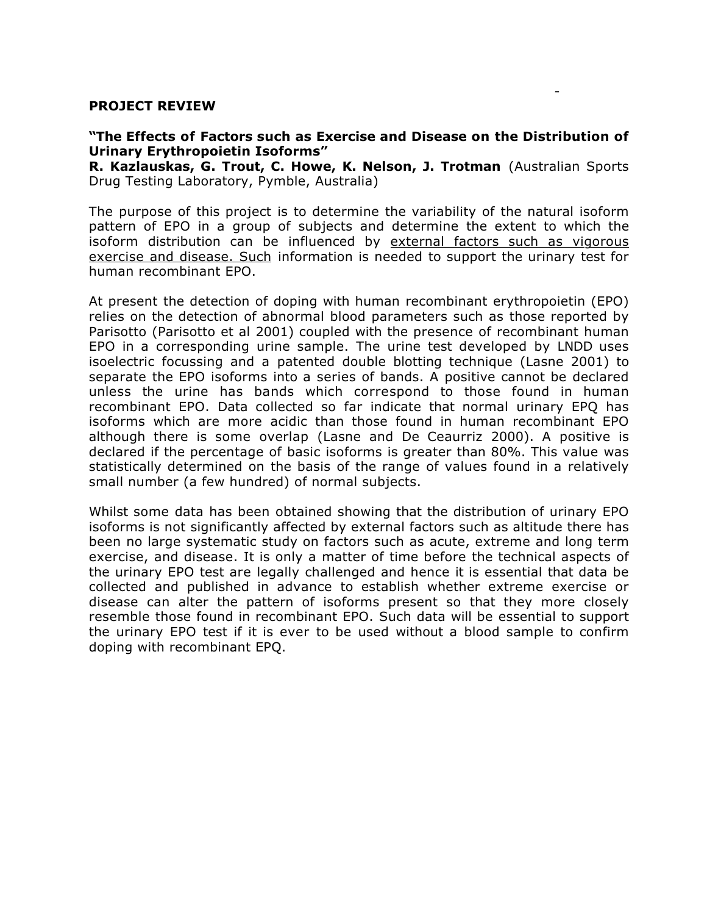#### **PROJECT REVIEW**

### **"The Effects of Factors such as Exercise and Disease on the Distribution of Urinary Erythropoietin Isoforms"**

-

**R. Kazlauskas, G. Trout, C. Howe, K. Nelson, J. Trotman** (Australian Sports Drug Testing Laboratory, Pymble, Australia)

The purpose of this project is to determine the variability of the natural isoform pattern of EPO in a group of subjects and determine the extent to which the isoform distribution can be influenced by external factors such as vigorous exercise and disease. Such information is needed to support the urinary test for human recombinant EPO.

At present the detection of doping with human recombinant erythropoietin (EPO) relies on the detection of abnormal blood parameters such as those reported by Parisotto (Parisotto et al 2001) coupled with the presence of recombinant human EPO in a corresponding urine sample. The urine test developed by LNDD uses isoelectric focussing and a patented double blotting technique (Lasne 2001) to separate the EPO isoforms into a series of bands. A positive cannot be declared unless the urine has bands which correspond to those found in human recombinant EPO. Data collected so far indicate that normal urinary EPQ has isoforms which are more acidic than those found in human recombinant EPO although there is some overlap (Lasne and De Ceaurriz 2000). A positive is declared if the percentage of basic isoforms is greater than 80%. This value was statistically determined on the basis of the range of values found in a relatively small number (a few hundred) of normal subjects.

Whilst some data has been obtained showing that the distribution of urinary EPO isoforms is not significantly affected by external factors such as altitude there has been no large systematic study on factors such as acute, extreme and long term exercise, and disease. It is only a matter of time before the technical aspects of the urinary EPO test are legally challenged and hence it is essential that data be collected and published in advance to establish whether extreme exercise or disease can alter the pattern of isoforms present so that they more closely resemble those found in recombinant EPO. Such data will be essential to support the urinary EPO test if it is ever to be used without a blood sample to confirm doping with recombinant EPQ.